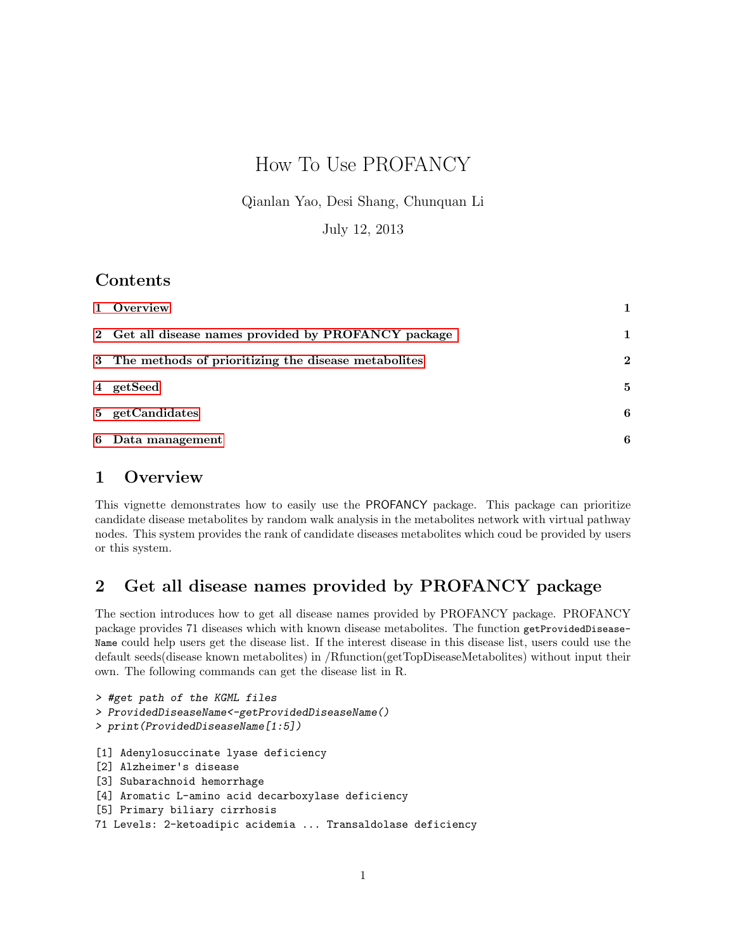# How To Use PROFANCY

Qianlan Yao, Desi Shang, Chunquan Li

July 12, 2013

### Contents

| 1 Overview                                            |              |
|-------------------------------------------------------|--------------|
| 2 Get all disease names provided by PROFANCY package  |              |
| 3 The methods of prioritizing the disease metabolites | $\mathbf{2}$ |
| 4 getSeed                                             | 5            |
| 5 getCandidates                                       | 6            |
| 6 Data management                                     | 6            |

## <span id="page-0-0"></span>1 Overview

This vignette demonstrates how to easily use the PROFANCY package. This package can prioritize candidate disease metabolites by random walk analysis in the metabolites network with virtual pathway nodes. This system provides the rank of candidate diseases metabolites which coud be provided by users or this system.

## <span id="page-0-1"></span>2 Get all disease names provided by PROFANCY package

The section introduces how to get all disease names provided by PROFANCY package. PROFANCY package provides 71 diseases which with known disease metabolites. The function getProvidedDisease-Name could help users get the disease list. If the interest disease in this disease list, users could use the default seeds(disease known metabolites) in /Rfunction(getTopDiseaseMetabolites) without input their own. The following commands can get the disease list in R.

```
> #get path of the KGML files
> ProvidedDiseaseName<-getProvidedDiseaseName()
> print(ProvidedDiseaseName[1:5])
[1] Adenylosuccinate lyase deficiency
[2] Alzheimer's disease
[3] Subarachnoid hemorrhage
[4] Aromatic L-amino acid decarboxylase deficiency
[5] Primary biliary cirrhosis
71 Levels: 2-ketoadipic acidemia ... Transaldolase deficiency
```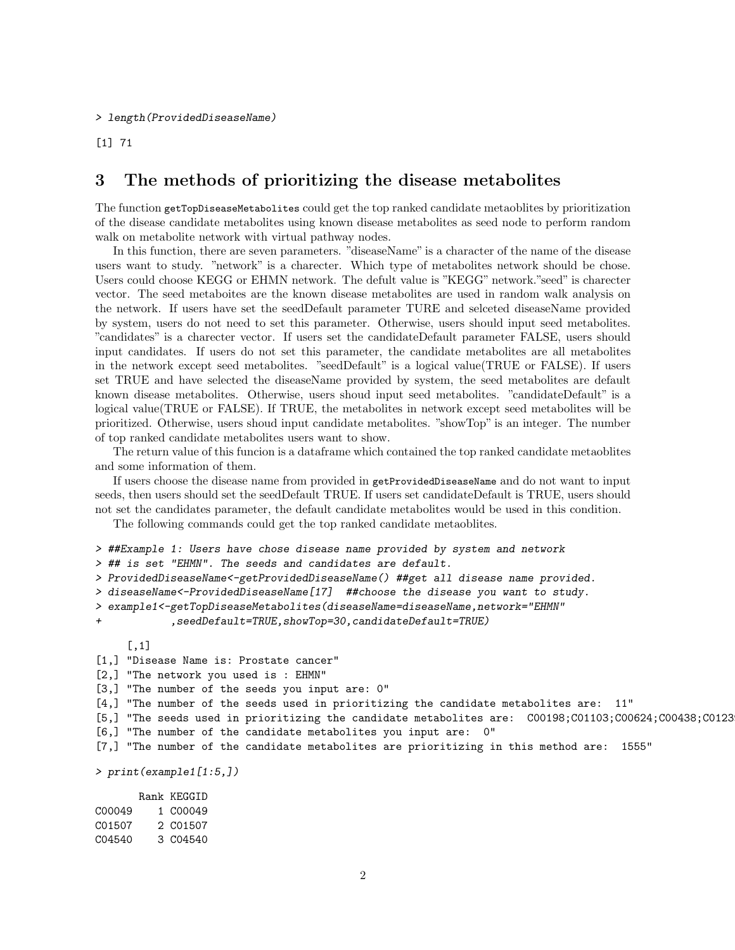#### > length(ProvidedDiseaseName)

[1] 71

### <span id="page-1-0"></span>3 The methods of prioritizing the disease metabolites

The function getTopDiseaseMetabolites could get the top ranked candidate metaoblites by prioritization of the disease candidate metabolites using known disease metabolites as seed node to perform random walk on metabolite network with virtual pathway nodes.

In this function, there are seven parameters. "diseaseName" is a character of the name of the disease users want to study. "network" is a charecter. Which type of metabolites network should be chose. Users could choose KEGG or EHMN network. The defult value is "KEGG" network."seed" is charecter vector. The seed metaboites are the known disease metabolites are used in random walk analysis on the network. If users have set the seedDefault parameter TURE and selceted diseaseName provided by system, users do not need to set this parameter. Otherwise, users should input seed metabolites. "candidates" is a charecter vector. If users set the candidateDefault parameter FALSE, users should input candidates. If users do not set this parameter, the candidate metabolites are all metabolites in the network except seed metabolites. "seedDefault" is a logical value(TRUE or FALSE). If users set TRUE and have selected the diseaseName provided by system, the seed metabolites are default known disease metabolites. Otherwise, users shoud input seed metabolites. "candidateDefault" is a logical value(TRUE or FALSE). If TRUE, the metabolites in network except seed metabolites will be prioritized. Otherwise, users shoud input candidate metabolites. "showTop" is an integer. The number of top ranked candidate metabolites users want to show.

The return value of this funcion is a dataframe which contained the top ranked candidate metaoblites and some information of them.

If users choose the disease name from provided in getProvidedDiseaseName and do not want to input seeds, then users should set the seedDefault TRUE. If users set candidateDefault is TRUE, users should not set the candidates parameter, the default candidate metabolites would be used in this condition.

The following commands could get the top ranked candidate metaoblites.

```
> ##Example 1: Users have chose disease name provided by system and network
> ## is set "EHMN". The seeds and candidates are default.
> ProvidedDiseaseName<-getProvidedDiseaseName() ##get all disease name provided.
> diseaseName<-ProvidedDiseaseName[17] ##choose the disease you want to study.
> example1<-getTopDiseaseMetabolites(diseaseName=diseaseName,network="EHMN"
            + ,seedDefault=TRUE,showTop=30,candidateDefault=TRUE)
     [,1]
[1,] "Disease Name is: Prostate cancer"
[2,] "The network you used is : EHMN"
[3,] "The number of the seeds you input are: 0"
[4,] "The number of the seeds used in prioritizing the candidate metabolites are: 11"
[5,] "The seeds used in prioritizing the candidate metabolites are: C00198;C01103;C00624;C00438;C0123
[6,] "The number of the candidate metabolites you input are: 0"
[7,] "The number of the candidate metabolites are prioritizing in this method are: 1555"
> print(example1[1:5,])
      Rank KEGGID
C00049 1 C00049
C01507 2 C01507
C04540 3 C04540
```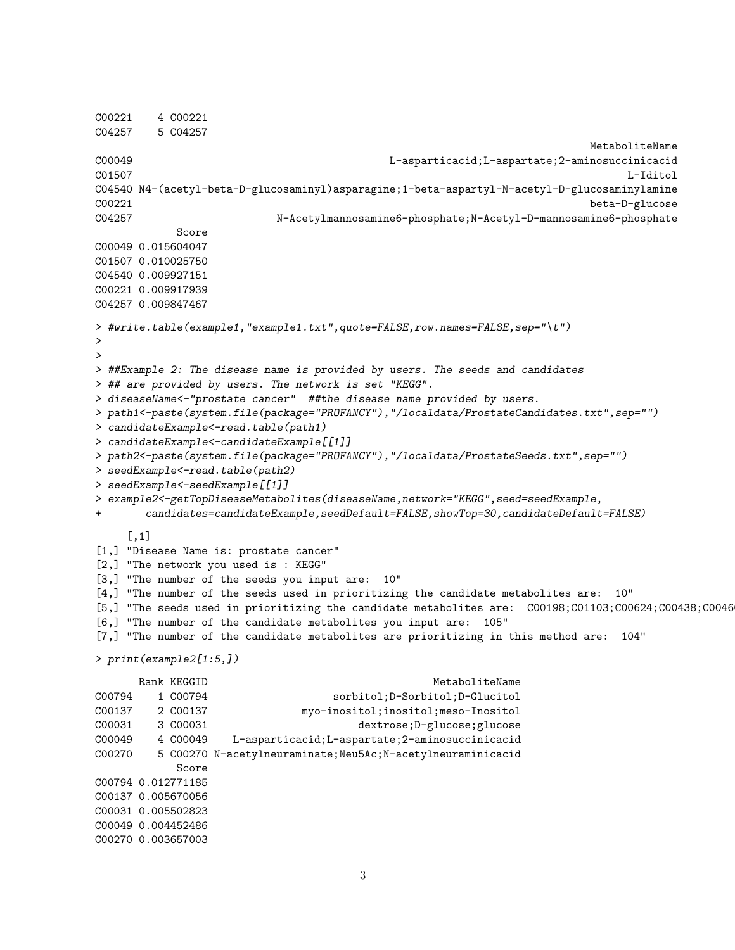```
C00221 4 C00221
C04257 5 C04257
                                                                    MetaboliteName
C00049 L-asparticacid;L-aspartate;2-aminosuccinicacid
C01507 L-Iditol
C04540 N4-(acetyl-beta-D-glucosaminyl)asparagine;1-beta-aspartyl-N-acetyl-D-glucosaminylamine
C00221 beta-D-glucose
C04257 N-Acetylmannosamine6-phosphate;N-Acetyl-D-mannosamine6-phosphate
           Score
C00049 0.015604047
C01507 0.010025750
C04540 0.009927151
C00221 0.009917939
C04257 0.009847467
> #write.table(example1,"example1.txt",quote=FALSE,row.names=FALSE,sep="\t")
>
>
> ##Example 2: The disease name is provided by users. The seeds and candidates
> ## are provided by users. The network is set "KEGG".
> diseaseName<-"prostate cancer" ##the disease name provided by users.
> path1<-paste(system.file(package="PROFANCY"),"/localdata/ProstateCandidates.txt",sep="")
> candidateExample<-read.table(path1)
> candidateExample<-candidateExample[[1]]
> path2<-paste(system.file(package="PROFANCY"),"/localdata/ProstateSeeds.txt",sep="")
> seedExample<-read.table(path2)
> seedExample<-seedExample[[1]]
> example2<-getTopDiseaseMetabolites(diseaseName,network="KEGG",seed=seedExample,
+ candidates=candidateExample,seedDefault=FALSE,showTop=30,candidateDefault=FALSE)
    [,1]
[1,] "Disease Name is: prostate cancer"
[2,] "The network you used is : KEGG"
[3,] "The number of the seeds you input are: 10"
[4,] "The number of the seeds used in prioritizing the candidate metabolites are: 10"
[5,] "The seeds used in prioritizing the candidate metabolites are: C00198;C01103;C00624;C00438;C0046
[6,] "The number of the candidate metabolites you input are: 105"
[7,] "The number of the candidate metabolites are prioritizing in this method are: 104"
> print(example2[1:5,])
     Rank KEGGID MetaboliteName
C00794 1 C00794 sorbitol;D-Sorbitol;D-Glucitol
C00137 2 C00137 myo-inositol;inositol;meso-Inositol
C00031 3 C00031 dextrose;D-glucose;glucose
C00049 4 C00049 L-asparticacid;L-aspartate;2-aminosuccinicacid
C00270 5 C00270 N-acetylneuraminate;Neu5Ac;N-acetylneuraminicacid
           Score
C00794 0.012771185
C00137 0.005670056
C00031 0.005502823
C00049 0.004452486
C00270 0.003657003
```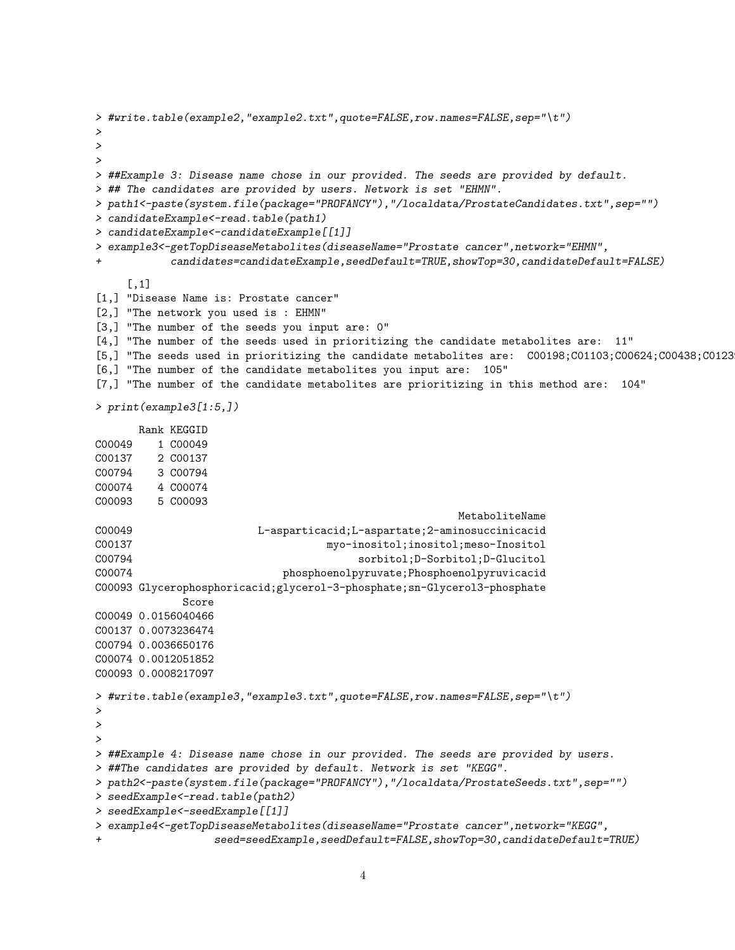```
> #write.table(example2,"example2.txt",quote=FALSE,row.names=FALSE,sep="\t")
>
>
>
> ##Example 3: Disease name chose in our provided. The seeds are provided by default.
> ## The candidates are provided by users. Network is set "EHMN".
> path1<-paste(system.file(package="PROFANCY"),"/localdata/ProstateCandidates.txt",sep="")
> candidateExample<-read.table(path1)
> candidateExample<-candidateExample[[1]]
> example3<-getTopDiseaseMetabolites(diseaseName="Prostate cancer",network="EHMN",
           + candidates=candidateExample,seedDefault=TRUE,showTop=30,candidateDefault=FALSE)
     [,1]
[1,] "Disease Name is: Prostate cancer"
[2,] "The network you used is : EHMN"
[3,] "The number of the seeds you input are: 0"
[4,] "The number of the seeds used in prioritizing the candidate metabolites are: 11"
[5,] "The seeds used in prioritizing the candidate metabolites are: C00198;C01103;C00624;C00438;C0123
[6,] "The number of the candidate metabolites you input are: 105"
[7,] "The number of the candidate metabolites are prioritizing in this method are: 104"
> print(example3[1:5,])
      Rank KEGGID
C00049 1 C00049
C00137 2 C00137
C00794 3 C00794
C00074 4 C00074
C00093 5 C00093
                                                       MetaboliteName
C00049 L-asparticacid;L-aspartate;2-aminosuccinicacid
C00137 myo-inositol;inositol;meso-Inositol
C00794 sorbitol;D-Sorbitol;D-Glucitol
C00074 phosphoenolpyruvate;Phosphoenolpyruvicacid
C00093 Glycerophosphoricacid;glycerol-3-phosphate;sn-Glycerol3-phosphate
             Score
C00049 0.0156040466
C00137 0.0073236474
C00794 0.0036650176
C00074 0.0012051852
C00093 0.0008217097
> #write.table(example3,"example3.txt",quote=FALSE,row.names=FALSE,sep="\t")
>
>
>
> ##Example 4: Disease name chose in our provided. The seeds are provided by users.
> ##The candidates are provided by default. Network is set "KEGG".
> path2<-paste(system.file(package="PROFANCY"),"/localdata/ProstateSeeds.txt",sep="")
> seedExample<-read.table(path2)
> seedExample<-seedExample[[1]]
> example4<-getTopDiseaseMetabolites(diseaseName="Prostate cancer",network="KEGG",
                  + seed=seedExample,seedDefault=FALSE,showTop=30,candidateDefault=TRUE)
```

```
4
```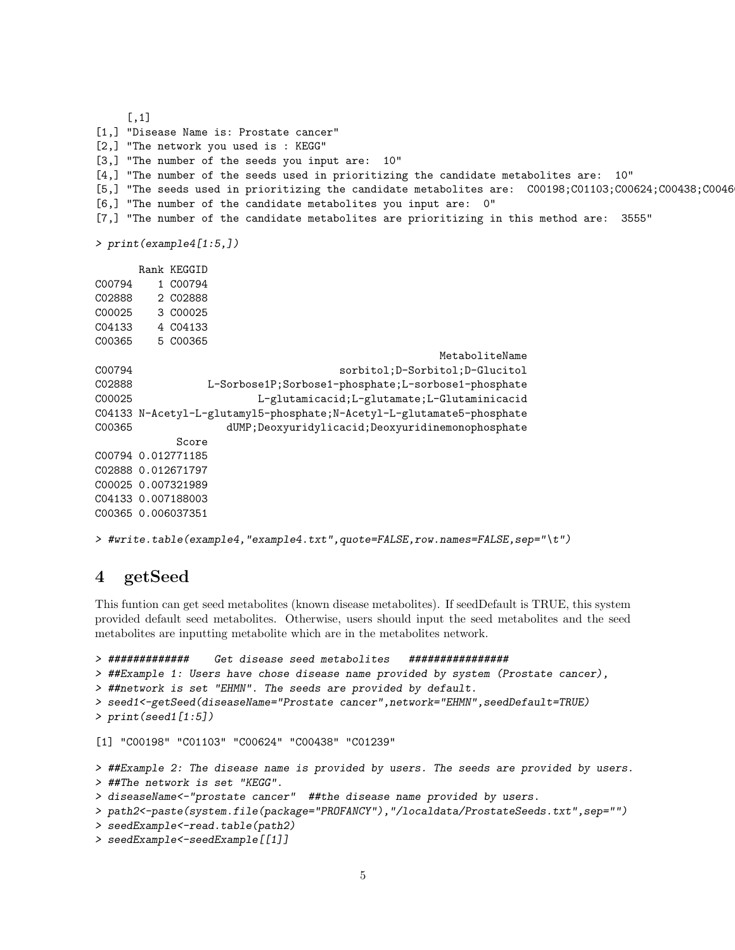```
[,1]
[1,] "Disease Name is: Prostate cancer"
[2,] "The network you used is : KEGG"
[3,] "The number of the seeds you input are: 10"
[4,] "The number of the seeds used in prioritizing the candidate metabolites are: 10"
[5,] "The seeds used in prioritizing the candidate metabolites are: C00198;C01103;C00624;C00438;C0046
[6,] "The number of the candidate metabolites you input are: 0"
[7,] "The number of the candidate metabolites are prioritizing in this method are: 3555"
> print(example4[1:5,])
      Rank KEGGID
C00794 1 C00794
C02888 2 C02888
C00025 3 C00025
C04133 4 C04133
C00365 5 C00365
                                                   MetaboliteName
C00794 sorbitol;D-Sorbitol;D-Glucitol
C02888 L-Sorbose1P;Sorbose1-phosphate;L-sorbose1-phosphate
C00025 L-glutamicacid;L-glutamate;L-Glutaminicacid
C04133 N-Acetyl-L-glutamyl5-phosphate;N-Acetyl-L-glutamate5-phosphate
C00365 dUMP;Deoxyuridylicacid;Deoxyuridinemonophosphate
           Score
C00794 0.012771185
C02888 0.012671797
C00025 0.007321989
C04133 0.007188003
C00365 0.006037351
```

```
> #write.table(example4,"example4.txt",quote=FALSE,row.names=FALSE,sep="\t")
```
### <span id="page-4-0"></span>4 getSeed

This funtion can get seed metabolites (known disease metabolites). If seedDefault is TRUE, this system provided default seed metabolites. Otherwise, users should input the seed metabolites and the seed metabolites are inputting metabolite which are in the metabolites network.

```
> ############# Get disease seed metabolites ################
> ##Example 1: Users have chose disease name provided by system (Prostate cancer),
> ##network is set "EHMN". The seeds are provided by default.
> seed1<-getSeed(diseaseName="Prostate cancer",network="EHMN",seedDefault=TRUE)
> print(seed1[1:5])
[1] "C00198" "C01103" "C00624" "C00438" "C01239"
> ##Example 2: The disease name is provided by users. The seeds are provided by users.
> ##The network is set "KEGG".
> diseaseName<-"prostate cancer" ##the disease name provided by users.
> path2<-paste(system.file(package="PROFANCY"),"/localdata/ProstateSeeds.txt",sep="")
> seedExample<-read.table(path2)
> seedExample<-seedExample[[1]]
```